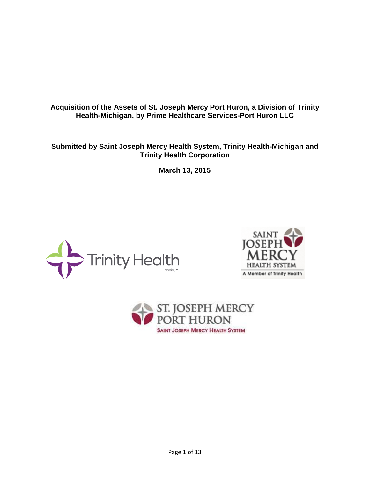**Acquisition of the Assets of St. Joseph Mercy Port Huron, a Division of Trinity Health-Michigan, by Prime Healthcare Services-Port Huron LLC** 

**Submitted by Saint Joseph Mercy Health System, Trinity Health-Michigan and Trinity Health Corporation** 

**March 13, 2015** 





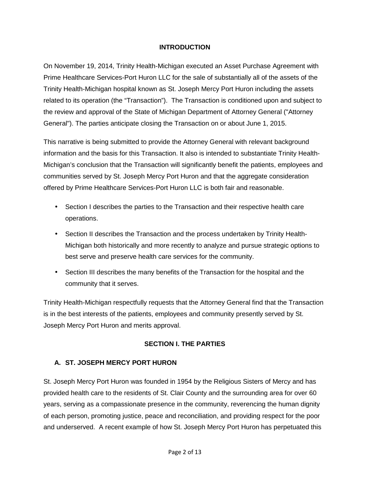#### **INTRODUCTION**

On November 19, 2014, Trinity Health-Michigan executed an Asset Purchase Agreement with Prime Healthcare Services-Port Huron LLC for the sale of substantially all of the assets of the Trinity Health-Michigan hospital known as St. Joseph Mercy Port Huron including the assets related to its operation (the "Transaction"). The Transaction is conditioned upon and subject to the review and approval of the State of Michigan Department of Attorney General ("Attorney General"). The parties anticipate closing the Transaction on or about June 1, 2015.

This narrative is being submitted to provide the Attorney General with relevant background information and the basis for this Transaction. It also is intended to substantiate Trinity Health-Michigan's conclusion that the Transaction will significantly benefit the patients, employees and communities served by St. Joseph Mercy Port Huron and that the aggregate consideration offered by Prime Healthcare Services-Port Huron LLC is both fair and reasonable.

- Section I describes the parties to the Transaction and their respective health care operations.
- Section II describes the Transaction and the process undertaken by Trinity Health-Michigan both historically and more recently to analyze and pursue strategic options to best serve and preserve health care services for the community.
- Section III describes the many benefits of the Transaction for the hospital and the community that it serves.

Trinity Health-Michigan respectfully requests that the Attorney General find that the Transaction is in the best interests of the patients, employees and community presently served by St. Joseph Mercy Port Huron and merits approval.

#### **SECTION I. THE PARTIES**

#### **A. ST. JOSEPH MERCY PORT HURON**

St. Joseph Mercy Port Huron was founded in 1954 by the Religious Sisters of Mercy and has provided health care to the residents of St. Clair County and the surrounding area for over 60 years, serving as a compassionate presence in the community, reverencing the human dignity of each person, promoting justice, peace and reconciliation, and providing respect for the poor and underserved. A recent example of how St. Joseph Mercy Port Huron has perpetuated this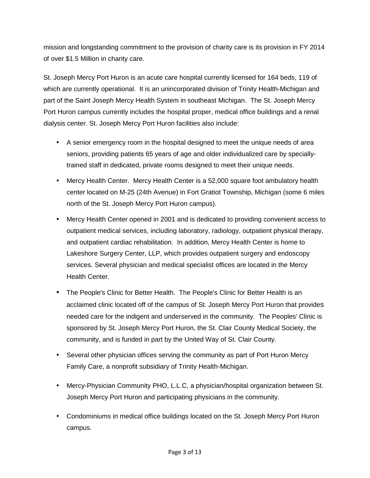mission and longstanding commitment to the provision of charity care is its provision in FY 2014 of over \$1.5 Million in charity care.

St. Joseph Mercy Port Huron is an acute care hospital currently licensed for 164 beds, 119 of which are currently operational. It is an unincorporated division of Trinity Health-Michigan and part of the Saint Joseph Mercy Health System in southeast Michigan. The St. Joseph Mercy Port Huron campus currently includes the hospital proper, medical office buildings and a renal dialysis center. St. Joseph Mercy Port Huron facilities also include:

- A senior emergency room in the hospital designed to meet the unique needs of area seniors, providing patients 65 years of age and older individualized care by speciallytrained staff in dedicated, private rooms designed to meet their unique needs.
- Mercy Health Center. Mercy Health Center is a 52,000 square foot ambulatory health center located on M-25 (24th Avenue) in Fort Gratiot Township, Michigan (some 6 miles north of the St. Joseph Mercy Port Huron campus).
- Mercy Health Center opened in 2001 and is dedicated to providing convenient access to outpatient medical services, including laboratory, radiology, outpatient physical therapy, and outpatient cardiac rehabilitation. In addition, Mercy Health Center is home to Lakeshore Surgery Center, LLP, which provides outpatient surgery and endoscopy services. Several physician and medical specialist offices are located in the Mercy Health Center.
- The People's Clinic for Better Health. The People's Clinic for Better Health is an acclaimed clinic located off of the campus of St. Joseph Mercy Port Huron that provides needed care for the indigent and underserved in the community. The Peoples' Clinic is sponsored by St. Joseph Mercy Port Huron, the St. Clair County Medical Society, the community, and is funded in part by the United Way of St. Clair County.
- Several other physician offices serving the community as part of Port Huron Mercy Family Care, a nonprofit subsidiary of Trinity Health-Michigan.
- Mercy-Physician Community PHO, L.L.C, a physician/hospital organization between St. Joseph Mercy Port Huron and participating physicians in the community.
- Condominiums in medical office buildings located on the St. Joseph Mercy Port Huron campus.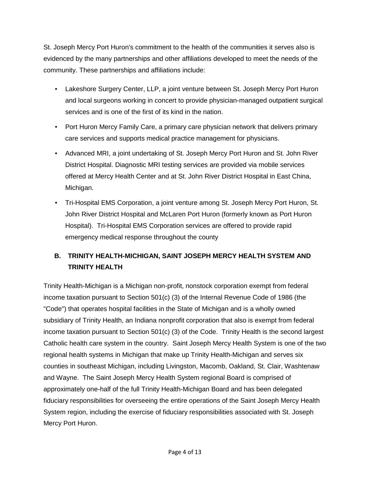St. Joseph Mercy Port Huron's commitment to the health of the communities it serves also is evidenced by the many partnerships and other affiliations developed to meet the needs of the community. These partnerships and affiliations include:

- Lakeshore Surgery Center, LLP, a joint venture between St. Joseph Mercy Port Huron and local surgeons working in concert to provide physician-managed outpatient surgical services and is one of the first of its kind in the nation.
- Port Huron Mercy Family Care, a primary care physician network that delivers primary care services and supports medical practice management for physicians.
- Advanced MRI, a joint undertaking of St. Joseph Mercy Port Huron and St. John River District Hospital. Diagnostic MRI testing services are provided via mobile services offered at Mercy Health Center and at St. John River District Hospital in East China, Michigan.
- Tri-Hospital EMS Corporation, a joint venture among St. Joseph Mercy Port Huron, St. John River District Hospital and McLaren Port Huron (formerly known as Port Huron Hospital). Tri-Hospital EMS Corporation services are offered to provide rapid emergency medical response throughout the county

# **B. TRINITY HEALTH-MICHIGAN, SAINT JOSEPH MERCY HEALTH SYSTEM AND TRINITY HEALTH**

Trinity Health-Michigan is a Michigan non-profit, nonstock corporation exempt from federal income taxation pursuant to Section 501(c) (3) of the Internal Revenue Code of 1986 (the "Code") that operates hospital facilities in the State of Michigan and is a wholly owned subsidiary of Trinity Health, an Indiana nonprofit corporation that also is exempt from federal income taxation pursuant to Section 501(c) (3) of the Code. Trinity Health is the second largest Catholic health care system in the country. Saint Joseph Mercy Health System is one of the two regional health systems in Michigan that make up Trinity Health-Michigan and serves six counties in southeast Michigan, including Livingston, Macomb, Oakland, St. Clair, Washtenaw and Wayne. The Saint Joseph Mercy Health System regional Board is comprised of approximately one-half of the full Trinity Health-Michigan Board and has been delegated fiduciary responsibilities for overseeing the entire operations of the Saint Joseph Mercy Health System region, including the exercise of fiduciary responsibilities associated with St. Joseph Mercy Port Huron.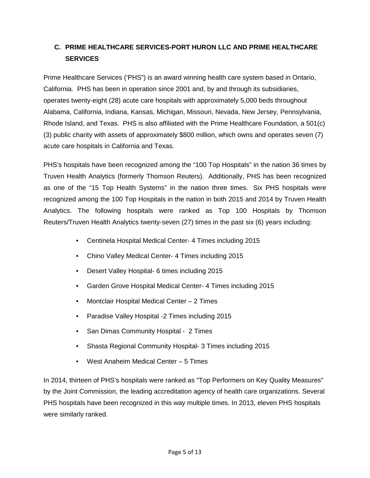# **C. PRIME HEALTHCARE SERVICES-PORT HURON LLC AND PRIME HEALTHCARE SERVICES**

Prime Healthcare Services ('PHS") is an award winning health care system based in Ontario, California. PHS has been in operation since 2001 and, by and through its subsidiaries, operates twenty-eight (28) acute care hospitals with approximately 5,000 beds throughout Alabama, California, Indiana, Kansas, Michigan, Missouri, Nevada, New Jersey, Pennsylvania, Rhode Island, and Texas. PHS is also affiliated with the Prime Healthcare Foundation, a 501(c) (3) public charity with assets of approximately \$800 million, which owns and operates seven (7) acute care hospitals in California and Texas.

PHS's hospitals have been recognized among the "100 Top Hospitals" in the nation 36 times by Truven Health Analytics (formerly Thomson Reuters). Additionally, PHS has been recognized as one of the "15 Top Health Systems" in the nation three times. Six PHS hospitals were recognized among the 100 Top Hospitals in the nation in both 2015 and 2014 by Truven Health Analytics. The following hospitals were ranked as Top 100 Hospitals by Thomson Reuters/Truven Health Analytics twenty-seven (27) times in the past six (6) years including:

- Centinela Hospital Medical Center- 4 Times including 2015
- Chino Valley Medical Center- 4 Times including 2015
- Desert Valley Hospital- 6 times including 2015
- Garden Grove Hospital Medical Center- 4 Times including 2015
- Montclair Hospital Medical Center 2 Times
- Paradise Valley Hospital -2 Times including 2015
- San Dimas Community Hospital 2 Times
- Shasta Regional Community Hospital- 3 Times including 2015
- West Anaheim Medical Center 5 Times

In 2014, thirteen of PHS's hospitals were ranked as "Top Performers on Key Quality Measures" by the Joint Commission, the leading accreditation agency of health care organizations. Several PHS hospitals have been recognized in this way multiple times. In 2013, eleven PHS hospitals were similarly ranked.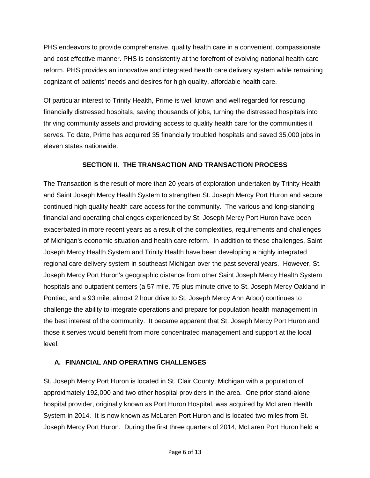PHS endeavors to provide comprehensive, quality health care in a convenient, compassionate and cost effective manner. PHS is consistently at the forefront of evolving national health care reform. PHS provides an innovative and integrated health care delivery system while remaining cognizant of patients' needs and desires for high quality, affordable health care.

Of particular interest to Trinity Health, Prime is well known and well regarded for rescuing financially distressed hospitals, saving thousands of jobs, turning the distressed hospitals into thriving community assets and providing access to quality health care for the communities it serves. To date, Prime has acquired 35 financially troubled hospitals and saved 35,000 jobs in eleven states nationwide.

### **SECTION II. THE TRANSACTION AND TRANSACTION PROCESS**

The Transaction is the result of more than 20 years of exploration undertaken by Trinity Health and Saint Joseph Mercy Health System to strengthen St. Joseph Mercy Port Huron and secure continued high quality health care access for the community. The various and long-standing financial and operating challenges experienced by St. Joseph Mercy Port Huron have been exacerbated in more recent years as a result of the complexities, requirements and challenges of Michigan's economic situation and health care reform. In addition to these challenges, Saint Joseph Mercy Health System and Trinity Health have been developing a highly integrated regional care delivery system in southeast Michigan over the past several years. However, St. Joseph Mercy Port Huron's geographic distance from other Saint Joseph Mercy Health System hospitals and outpatient centers (a 57 mile, 75 plus minute drive to St. Joseph Mercy Oakland in Pontiac, and a 93 mile, almost 2 hour drive to St. Joseph Mercy Ann Arbor) continues to challenge the ability to integrate operations and prepare for population health management in the best interest of the community. It became apparent that St. Joseph Mercy Port Huron and those it serves would benefit from more concentrated management and support at the local level.

#### **A. FINANCIAL AND OPERATING CHALLENGES**

St. Joseph Mercy Port Huron is located in St. Clair County, Michigan with a population of approximately 192,000 and two other hospital providers in the area. One prior stand-alone hospital provider, originally known as Port Huron Hospital, was acquired by McLaren Health System in 2014. It is now known as McLaren Port Huron and is located two miles from St. Joseph Mercy Port Huron. During the first three quarters of 2014, McLaren Port Huron held a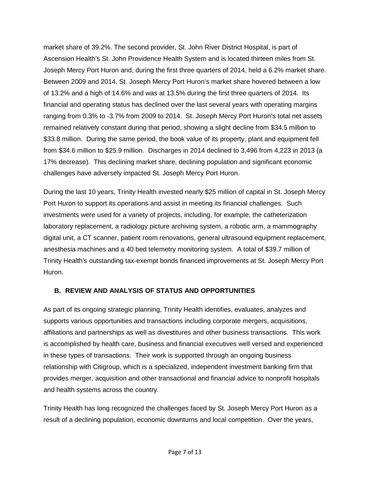market share of 39.2%. The second provider, St. John River District Hospital, is part of Ascension Health's St. John Providence Health System and is located thirteen miles from St. Joseph Mercy Port Huron and, during the first three quarters of 2014, held a 6.2% market share. Between 2009 and 2014, St. Joseph Mercy Port Huron's market share hovered between a low of 13.2% and a high of 14.6% and was at 13.5% during the first three quarters of 2014. Its financial and operating status has declined over the last several years with operating margins ranging from 0.3% to -3.7% from 2009 to 2014. St. Joseph Mercy Port Huron's total net assets remained relatively constant during that period, showing a slight decline from \$34.5 million to \$33.8 million. During the same period, the book value of its property, plant and equipment fell from \$34.6 million to \$25.9 million. Discharges in 2014 declined to 3,496 from 4,223 in 2013 (a 17% decrease). This declining market share, declining population and significant economic challenges have adversely impacted St. Joseph Mercy Port Huron.

During the last 10 years, Trinity Health invested nearly \$25 million of capital in St. Joseph Mercy Port Huron to support its operations and assist in meeting its financial challenges. Such investments were used for a variety of projects, including, for example, the catheterization laboratory replacement, a radiology picture archiving system, a robotic arm, a mammography digital unit, a CT scanner, patient room renovations, general ultrasound equipment replacement, anesthesia machines and a 40 bed telemetry monitoring system. A total of \$39.7 million of Trinity Health's outstanding tax-exempt bonds financed improvements at St. Joseph Mercy Port Huron.

#### **B. REVIEW AND ANALYSIS OF STATUS AND OPPORTUNITIES**

As part of its ongoing strategic planning, Trinity Health identifies, evaluates, analyzes and supports various opportunities and transactions including corporate mergers, acquisitions, affiliations and partnerships as well as divestitures and other business transactions. This work is accomplished by health care, business and financial executives well versed and experienced in these types of transactions. Their work is supported through an ongoing business relationship with Citigroup, which is a specialized, independent investment banking firm that provides merger, acquisition and other transactional and financial advice to nonprofit hospitals and health systems across the country.

Trinity Health has long recognized the challenges faced by St. Joseph Mercy Port Huron as a result of a declining population, economic downturns and local competition. Over the years,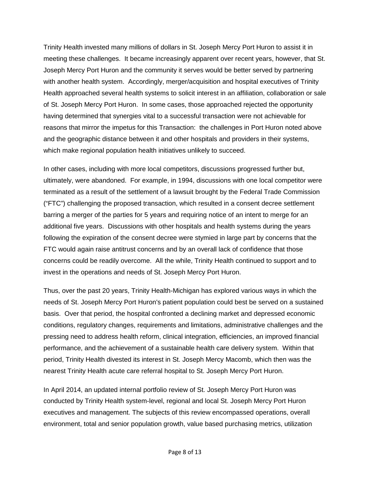Trinity Health invested many millions of dollars in St. Joseph Mercy Port Huron to assist it in meeting these challenges. It became increasingly apparent over recent years, however, that St. Joseph Mercy Port Huron and the community it serves would be better served by partnering with another health system. Accordingly, merger/acquisition and hospital executives of Trinity Health approached several health systems to solicit interest in an affiliation, collaboration or sale of St. Joseph Mercy Port Huron. In some cases, those approached rejected the opportunity having determined that synergies vital to a successful transaction were not achievable for reasons that mirror the impetus for this Transaction: the challenges in Port Huron noted above and the geographic distance between it and other hospitals and providers in their systems, which make regional population health initiatives unlikely to succeed.

In other cases, including with more local competitors, discussions progressed further but, ultimately, were abandoned. For example, in 1994, discussions with one local competitor were terminated as a result of the settlement of a lawsuit brought by the Federal Trade Commission ("FTC") challenging the proposed transaction, which resulted in a consent decree settlement barring a merger of the parties for 5 years and requiring notice of an intent to merge for an additional five years. Discussions with other hospitals and health systems during the years following the expiration of the consent decree were stymied in large part by concerns that the FTC would again raise antitrust concerns and by an overall lack of confidence that those concerns could be readily overcome. All the while, Trinity Health continued to support and to invest in the operations and needs of St. Joseph Mercy Port Huron.

Thus, over the past 20 years, Trinity Health-Michigan has explored various ways in which the needs of St. Joseph Mercy Port Huron's patient population could best be served on a sustained basis. Over that period, the hospital confronted a declining market and depressed economic conditions, regulatory changes, requirements and limitations, administrative challenges and the pressing need to address health reform, clinical integration, efficiencies, an improved financial performance, and the achievement of a sustainable health care delivery system. Within that period, Trinity Health divested its interest in St. Joseph Mercy Macomb, which then was the nearest Trinity Health acute care referral hospital to St. Joseph Mercy Port Huron.

In April 2014, an updated internal portfolio review of St. Joseph Mercy Port Huron was conducted by Trinity Health system-level, regional and local St. Joseph Mercy Port Huron executives and management. The subjects of this review encompassed operations, overall environment, total and senior population growth, value based purchasing metrics, utilization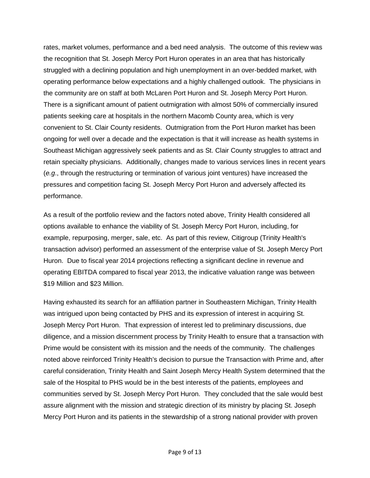rates, market volumes, performance and a bed need analysis. The outcome of this review was the recognition that St. Joseph Mercy Port Huron operates in an area that has historically struggled with a declining population and high unemployment in an over-bedded market, with operating performance below expectations and a highly challenged outlook. The physicians in the community are on staff at both McLaren Port Huron and St. Joseph Mercy Port Huron. There is a significant amount of patient outmigration with almost 50% of commercially insured patients seeking care at hospitals in the northern Macomb County area, which is very convenient to St. Clair County residents. Outmigration from the Port Huron market has been ongoing for well over a decade and the expectation is that it will increase as health systems in Southeast Michigan aggressively seek patients and as St. Clair County struggles to attract and retain specialty physicians. Additionally, changes made to various services lines in recent years  $(e.g., through the restructuring or termination of various joint ventures) have increased the$ pressures and competition facing St. Joseph Mercy Port Huron and adversely affected its performance.

As a result of the portfolio review and the factors noted above, Trinity Health considered all options available to enhance the viability of St. Joseph Mercy Port Huron, including, for example, repurposing, merger, sale, etc. As part of this review, Citigroup (Trinity Health's transaction advisor) performed an assessment of the enterprise value of St. Joseph Mercy Port Huron. Due to fiscal year 2014 projections reflecting a significant decline in revenue and operating EBITDA compared to fiscal year 2013, the indicative valuation range was between \$19 Million and \$23 Million.

Having exhausted its search for an affiliation partner in Southeastern Michigan, Trinity Health was intrigued upon being contacted by PHS and its expression of interest in acquiring St. Joseph Mercy Port Huron. That expression of interest led to preliminary discussions, due diligence, and a mission discernment process by Trinity Health to ensure that a transaction with Prime would be consistent with its mission and the needs of the community. The challenges noted above reinforced Trinity Health's decision to pursue the Transaction with Prime and, after careful consideration, Trinity Health and Saint Joseph Mercy Health System determined that the sale of the Hospital to PHS would be in the best interests of the patients, employees and communities served by St. Joseph Mercy Port Huron. They concluded that the sale would best assure alignment with the mission and strategic direction of its ministry by placing St. Joseph Mercy Port Huron and its patients in the stewardship of a strong national provider with proven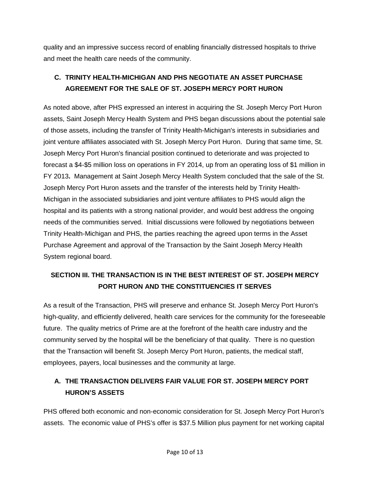quality and an impressive success record of enabling financially distressed hospitals to thrive and meet the health care needs of the community.

### **C. TRINITY HEALTH-MICHIGAN AND PHS NEGOTIATE AN ASSET PURCHASE AGREEMENT FOR THE SALE OF ST. JOSEPH MERCY PORT HURON**

As noted above, after PHS expressed an interest in acquiring the St. Joseph Mercy Port Huron assets, Saint Joseph Mercy Health System and PHS began discussions about the potential sale of those assets, including the transfer of Trinity Health-Michigan's interests in subsidiaries and joint venture affiliates associated with St. Joseph Mercy Port Huron. During that same time, St. Joseph Mercy Port Huron's financial position continued to deteriorate and was projected to forecast a \$4-\$5 million loss on operations in FY 2014, up from an operating loss of \$1 million in FY 2013**.** Management at Saint Joseph Mercy Health System concluded that the sale of the St. Joseph Mercy Port Huron assets and the transfer of the interests held by Trinity Health-Michigan in the associated subsidiaries and joint venture affiliates to PHS would align the hospital and its patients with a strong national provider, and would best address the ongoing needs of the communities served. Initial discussions were followed by negotiations between Trinity Health-Michigan and PHS, the parties reaching the agreed upon terms in the Asset Purchase Agreement and approval of the Transaction by the Saint Joseph Mercy Health System regional board.

# **SECTION III. THE TRANSACTION IS IN THE BEST INTEREST OF ST. JOSEPH MERCY PORT HURON AND THE CONSTITUENCIES IT SERVES**

As a result of the Transaction, PHS will preserve and enhance St. Joseph Mercy Port Huron's high-quality, and efficiently delivered, health care services for the community for the foreseeable future. The quality metrics of Prime are at the forefront of the health care industry and the community served by the hospital will be the beneficiary of that quality. There is no question that the Transaction will benefit St. Joseph Mercy Port Huron, patients, the medical staff, employees, payers, local businesses and the community at large.

### **A. THE TRANSACTION DELIVERS FAIR VALUE FOR ST. JOSEPH MERCY PORT HURON'S ASSETS**

PHS offered both economic and non-economic consideration for St. Joseph Mercy Port Huron's assets. The economic value of PHS's offer is \$37.5 Million plus payment for net working capital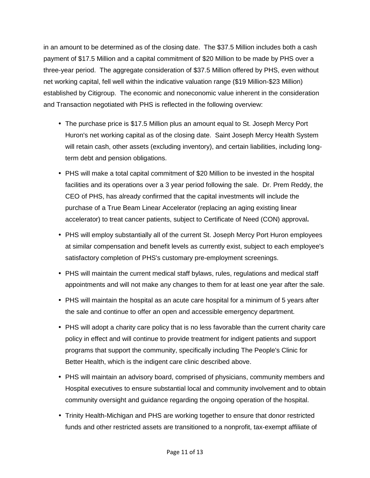in an amount to be determined as of the closing date. The \$37.5 Million includes both a cash payment of \$17.5 Million and a capital commitment of \$20 Million to be made by PHS over a three-year period. The aggregate consideration of \$37.5 Million offered by PHS, even without net working capital, fell well within the indicative valuation range (\$19 Million-\$23 Million) established by Citigroup. The economic and noneconomic value inherent in the consideration and Transaction negotiated with PHS is reflected in the following overview:

- The purchase price is \$17.5 Million plus an amount equal to St. Joseph Mercy Port Huron's net working capital as of the closing date. Saint Joseph Mercy Health System will retain cash, other assets (excluding inventory), and certain liabilities, including longterm debt and pension obligations.
- PHS will make a total capital commitment of \$20 Million to be invested in the hospital facilities and its operations over a 3 year period following the sale. Dr. Prem Reddy, the CEO of PHS, has already confirmed that the capital investments will include the purchase of a True Beam Linear Accelerator (replacing an aging existing linear accelerator) to treat cancer patients, subject to Certificate of Need (CON) approval**.**
- PHS will employ substantially all of the current St. Joseph Mercy Port Huron employees at similar compensation and benefit levels as currently exist, subject to each employee's satisfactory completion of PHS's customary pre-employment screenings.
- PHS will maintain the current medical staff bylaws, rules, regulations and medical staff appointments and will not make any changes to them for at least one year after the sale.
- PHS will maintain the hospital as an acute care hospital for a minimum of 5 years after the sale and continue to offer an open and accessible emergency department.
- PHS will adopt a charity care policy that is no less favorable than the current charity care policy in effect and will continue to provide treatment for indigent patients and support programs that support the community, specifically including The People's Clinic for Better Health, which is the indigent care clinic described above.
- PHS will maintain an advisory board, comprised of physicians, community members and Hospital executives to ensure substantial local and community involvement and to obtain community oversight and guidance regarding the ongoing operation of the hospital.
- Trinity Health-Michigan and PHS are working together to ensure that donor restricted funds and other restricted assets are transitioned to a nonprofit, tax-exempt affiliate of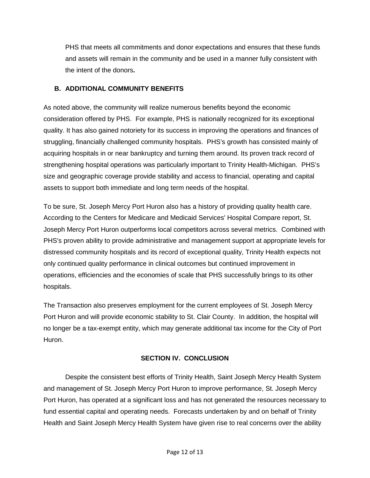PHS that meets all commitments and donor expectations and ensures that these funds and assets will remain in the community and be used in a manner fully consistent with the intent of the donors**.** 

#### **B. ADDITIONAL COMMUNITY BENEFITS**

As noted above, the community will realize numerous benefits beyond the economic consideration offered by PHS. For example, PHS is nationally recognized for its exceptional quality. It has also gained notoriety for its success in improving the operations and finances of struggling, financially challenged community hospitals. PHS's growth has consisted mainly of acquiring hospitals in or near bankruptcy and turning them around. Its proven track record of strengthening hospital operations was particularly important to Trinity Health-Michigan. PHS's size and geographic coverage provide stability and access to financial, operating and capital assets to support both immediate and long term needs of the hospital.

To be sure, St. Joseph Mercy Port Huron also has a history of providing quality health care. According to the Centers for Medicare and Medicaid Services' Hospital Compare report, St. Joseph Mercy Port Huron outperforms local competitors across several metrics. Combined with PHS's proven ability to provide administrative and management support at appropriate levels for distressed community hospitals and its record of exceptional quality, Trinity Health expects not only continued quality performance in clinical outcomes but continued improvement in operations, efficiencies and the economies of scale that PHS successfully brings to its other hospitals.

The Transaction also preserves employment for the current employees of St. Joseph Mercy Port Huron and will provide economic stability to St. Clair County. In addition, the hospital will no longer be a tax-exempt entity, which may generate additional tax income for the City of Port Huron.

#### **SECTION IV. CONCLUSION**

Despite the consistent best efforts of Trinity Health, Saint Joseph Mercy Health System and management of St. Joseph Mercy Port Huron to improve performance, St. Joseph Mercy Port Huron, has operated at a significant loss and has not generated the resources necessary to fund essential capital and operating needs. Forecasts undertaken by and on behalf of Trinity Health and Saint Joseph Mercy Health System have given rise to real concerns over the ability